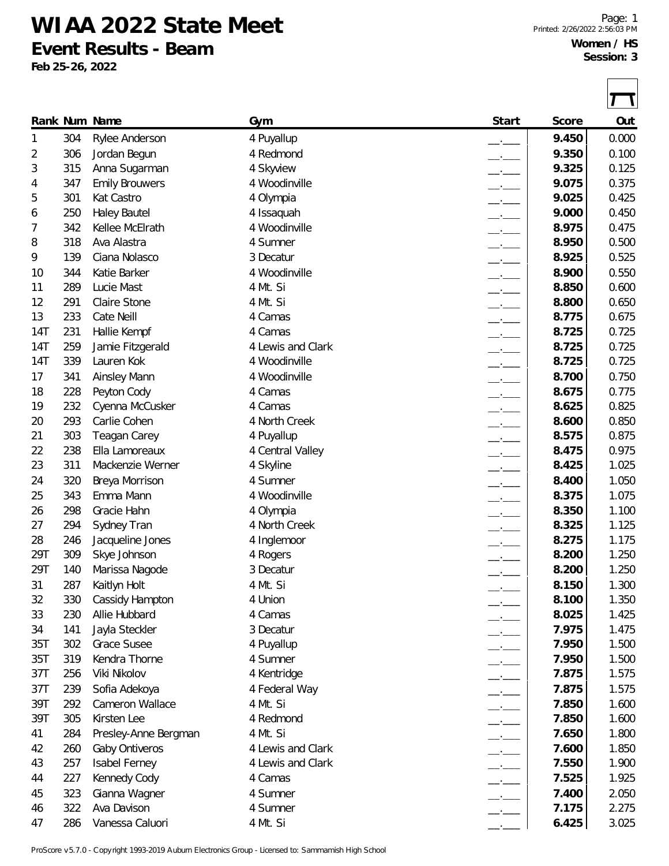**WIAA 2022 State Meet**

**Event Results - Beam**

**Feb 25-26, 2022**

| Start<br>Out<br>Rank Num Name<br>Score<br>Gym<br>304<br>4 Puyallup<br>9.450<br>Rylee Anderson<br>1<br>$-$<br>9.350<br>306<br>4 Redmond<br>2<br>Jordan Begun<br>$-1$<br>9.325<br>0.125<br>3<br>315<br>Anna Sugarman<br>4 Skyview<br>$\overline{\phantom{a}}$<br>347<br><b>Emily Brouwers</b><br>4 Woodinville<br>9.075<br>0.375<br>4<br>$\overline{\phantom{a}}$<br>9.025<br>0.425<br>301<br>Kat Castro<br>4 Olympia<br>5<br>$\overline{\phantom{a}}$<br>250<br><b>Haley Bautel</b><br>4 Issaquah<br>9.000<br>6<br>$\overline{\phantom{a}}$<br>342<br>4 Woodinville<br>8.975<br>Kellee McElrath<br>0.475<br>7<br>$\overline{\phantom{a}}$<br>4 Sumner<br>8.950<br>318<br>Ava Alastra<br>8<br>$\overline{\phantom{a}}$<br>139<br>Ciana Nolasco<br>3 Decatur<br>8.925<br>0.525<br>9<br>$\overline{\phantom{a}}$<br>4 Woodinville<br>8.900<br>344<br>Katie Barker<br>10<br>$\overline{\phantom{a}}$<br>4 Mt. Si<br>8.850<br>289<br>Lucie Mast<br>11<br>$\overline{\phantom{a}}$<br>Claire Stone<br>4 Mt. Si<br>291<br>8.800<br>12<br>$\overline{\phantom{a}}$<br>4 Camas<br>13<br>233<br><b>Cate Neill</b><br>8.775<br>0.675<br>$\overline{\phantom{a}}$<br>14T<br>231<br>Hallie Kempf<br>4 Camas<br>8.725<br>0.725<br>$\overline{\phantom{a}}$<br>259<br>Jamie Fitzgerald<br>4 Lewis and Clark<br>8.725<br>0.725<br>14T<br>$\overline{\phantom{a}}$<br>Lauren Kok<br>4 Woodinville<br>14T<br>339<br>8.725<br>$\overline{\phantom{a}}$<br>8.700<br>341<br><b>Ainsley Mann</b><br>4 Woodinville<br>0.750<br>17<br>$\overline{\phantom{a}}$<br>Peyton Cody<br>4 Camas<br>8.675<br>0.775<br>228<br>18<br>$ -$<br>232<br>Cyenna McCusker<br>4 Camas<br>8.625<br>0.825<br>19<br>$\overline{\phantom{a}}$<br>Carlie Cohen<br>0.850<br>293<br>4 North Creek<br>8.600<br>20<br>$\overline{\phantom{a}}$<br>8.575<br>0.875<br>303<br><b>Teagan Carey</b><br>4 Puyallup<br>21<br>$\overline{\phantom{a}}$<br>238<br>Ella Lamoreaux<br>4 Central Valley<br>8.475<br>0.975<br>22<br>$\overline{\phantom{a}}$<br>311<br>Mackenzie Werner<br>4 Skyline<br>8.425<br>1.025<br>23<br>$\overline{\phantom{a}}$<br>4 Sumner<br>320<br>Breya Morrison<br>8.400<br>1.050<br>24<br>$\overline{\phantom{a}}$<br>Emma Mann<br>4 Woodinville<br>8.375<br>1.075<br>25<br>343<br>$\overline{\phantom{a}}$<br>8.350<br>298<br>Gracie Hahn<br>4 Olympia<br>1.100<br>26<br>$-$<br>27<br>294<br>Sydney Tran<br>4 North Creek<br>8.325<br>1.125<br>$\overline{\phantom{a}}$<br>8.275<br>246<br>Jacqueline Jones<br>1.175<br>28<br>4 Inglemoor<br>$\overline{\phantom{a}}$<br>Skye Johnson<br>29T<br>309<br>4 Rogers<br>8.200<br>8.200<br>140<br>Marissa Nagode<br>3 Decatur<br>1.250<br>29T<br>31<br>287<br>Kaitlyn Holt<br>4 Mt. Si<br>8.150<br>1.300<br>330<br>Cassidy Hampton<br>4 Union<br>8.100<br>1.350<br>32<br>Allie Hubbard<br>4 Camas<br>8.025<br>33<br>230<br>1.425<br>$ -$<br>Jayla Steckler<br>7.975<br>141<br>3 Decatur<br>1.475<br>34<br>$ -$<br><b>Grace Susee</b><br>4 Puyallup<br>7.950<br>1.500<br>35T<br>302<br>$-$<br>35T<br>319<br>Kendra Thorne<br>4 Sumner<br>7.950<br>1.500<br>$-$<br>Viki Nikolov<br>7.875<br>37T<br>256<br>4 Kentridge<br>1.575<br>$-$<br>239<br>Sofia Adekoya<br>4 Federal Way<br>7.875<br>37T<br>1.575<br>$\overline{\phantom{a}}$<br>39T<br>292<br>Cameron Wallace<br>4 Mt. Si<br>7.850<br>1.600<br>$\overline{\phantom{a}}$<br>39T<br>305<br>Kirsten Lee<br>4 Redmond<br>7.850<br>1.600<br>$\overline{\phantom{a}}$<br>284<br>Presley-Anne Bergman<br>4 Mt. Si<br>7.650<br>41<br>1.800<br>$-$<br>260<br>Gaby Ontiveros<br>4 Lewis and Clark<br>7.600<br>1.850<br>42<br>$\overline{\phantom{a}}$<br>257<br>Isabel Ferney<br>4 Lewis and Clark<br>7.550<br>1.900<br>43<br>$\overline{\phantom{a}}$ |    |     |              |         |       |       |
|-------------------------------------------------------------------------------------------------------------------------------------------------------------------------------------------------------------------------------------------------------------------------------------------------------------------------------------------------------------------------------------------------------------------------------------------------------------------------------------------------------------------------------------------------------------------------------------------------------------------------------------------------------------------------------------------------------------------------------------------------------------------------------------------------------------------------------------------------------------------------------------------------------------------------------------------------------------------------------------------------------------------------------------------------------------------------------------------------------------------------------------------------------------------------------------------------------------------------------------------------------------------------------------------------------------------------------------------------------------------------------------------------------------------------------------------------------------------------------------------------------------------------------------------------------------------------------------------------------------------------------------------------------------------------------------------------------------------------------------------------------------------------------------------------------------------------------------------------------------------------------------------------------------------------------------------------------------------------------------------------------------------------------------------------------------------------------------------------------------------------------------------------------------------------------------------------------------------------------------------------------------------------------------------------------------------------------------------------------------------------------------------------------------------------------------------------------------------------------------------------------------------------------------------------------------------------------------------------------------------------------------------------------------------------------------------------------------------------------------------------------------------------------------------------------------------------------------------------------------------------------------------------------------------------------------------------------------------------------------------------------------------------------------------------------------------------------------------------------------------------------------------------------------------------------------------------------------------------------------------------------------------------------------------------------------------------------------------------------------------------------------------------------------------------------------------------------------------------------------------------------------------------------------------------------------------------------------------------------------------------------------------------------------------------------------------------------------|----|-----|--------------|---------|-------|-------|
|                                                                                                                                                                                                                                                                                                                                                                                                                                                                                                                                                                                                                                                                                                                                                                                                                                                                                                                                                                                                                                                                                                                                                                                                                                                                                                                                                                                                                                                                                                                                                                                                                                                                                                                                                                                                                                                                                                                                                                                                                                                                                                                                                                                                                                                                                                                                                                                                                                                                                                                                                                                                                                                                                                                                                                                                                                                                                                                                                                                                                                                                                                                                                                                                                                                                                                                                                                                                                                                                                                                                                                                                                                                                                                             |    |     |              |         |       |       |
|                                                                                                                                                                                                                                                                                                                                                                                                                                                                                                                                                                                                                                                                                                                                                                                                                                                                                                                                                                                                                                                                                                                                                                                                                                                                                                                                                                                                                                                                                                                                                                                                                                                                                                                                                                                                                                                                                                                                                                                                                                                                                                                                                                                                                                                                                                                                                                                                                                                                                                                                                                                                                                                                                                                                                                                                                                                                                                                                                                                                                                                                                                                                                                                                                                                                                                                                                                                                                                                                                                                                                                                                                                                                                                             |    |     |              |         |       | 0.000 |
|                                                                                                                                                                                                                                                                                                                                                                                                                                                                                                                                                                                                                                                                                                                                                                                                                                                                                                                                                                                                                                                                                                                                                                                                                                                                                                                                                                                                                                                                                                                                                                                                                                                                                                                                                                                                                                                                                                                                                                                                                                                                                                                                                                                                                                                                                                                                                                                                                                                                                                                                                                                                                                                                                                                                                                                                                                                                                                                                                                                                                                                                                                                                                                                                                                                                                                                                                                                                                                                                                                                                                                                                                                                                                                             |    |     |              |         |       | 0.100 |
|                                                                                                                                                                                                                                                                                                                                                                                                                                                                                                                                                                                                                                                                                                                                                                                                                                                                                                                                                                                                                                                                                                                                                                                                                                                                                                                                                                                                                                                                                                                                                                                                                                                                                                                                                                                                                                                                                                                                                                                                                                                                                                                                                                                                                                                                                                                                                                                                                                                                                                                                                                                                                                                                                                                                                                                                                                                                                                                                                                                                                                                                                                                                                                                                                                                                                                                                                                                                                                                                                                                                                                                                                                                                                                             |    |     |              |         |       |       |
|                                                                                                                                                                                                                                                                                                                                                                                                                                                                                                                                                                                                                                                                                                                                                                                                                                                                                                                                                                                                                                                                                                                                                                                                                                                                                                                                                                                                                                                                                                                                                                                                                                                                                                                                                                                                                                                                                                                                                                                                                                                                                                                                                                                                                                                                                                                                                                                                                                                                                                                                                                                                                                                                                                                                                                                                                                                                                                                                                                                                                                                                                                                                                                                                                                                                                                                                                                                                                                                                                                                                                                                                                                                                                                             |    |     |              |         |       |       |
|                                                                                                                                                                                                                                                                                                                                                                                                                                                                                                                                                                                                                                                                                                                                                                                                                                                                                                                                                                                                                                                                                                                                                                                                                                                                                                                                                                                                                                                                                                                                                                                                                                                                                                                                                                                                                                                                                                                                                                                                                                                                                                                                                                                                                                                                                                                                                                                                                                                                                                                                                                                                                                                                                                                                                                                                                                                                                                                                                                                                                                                                                                                                                                                                                                                                                                                                                                                                                                                                                                                                                                                                                                                                                                             |    |     |              |         |       |       |
|                                                                                                                                                                                                                                                                                                                                                                                                                                                                                                                                                                                                                                                                                                                                                                                                                                                                                                                                                                                                                                                                                                                                                                                                                                                                                                                                                                                                                                                                                                                                                                                                                                                                                                                                                                                                                                                                                                                                                                                                                                                                                                                                                                                                                                                                                                                                                                                                                                                                                                                                                                                                                                                                                                                                                                                                                                                                                                                                                                                                                                                                                                                                                                                                                                                                                                                                                                                                                                                                                                                                                                                                                                                                                                             |    |     |              |         |       | 0.450 |
|                                                                                                                                                                                                                                                                                                                                                                                                                                                                                                                                                                                                                                                                                                                                                                                                                                                                                                                                                                                                                                                                                                                                                                                                                                                                                                                                                                                                                                                                                                                                                                                                                                                                                                                                                                                                                                                                                                                                                                                                                                                                                                                                                                                                                                                                                                                                                                                                                                                                                                                                                                                                                                                                                                                                                                                                                                                                                                                                                                                                                                                                                                                                                                                                                                                                                                                                                                                                                                                                                                                                                                                                                                                                                                             |    |     |              |         |       |       |
|                                                                                                                                                                                                                                                                                                                                                                                                                                                                                                                                                                                                                                                                                                                                                                                                                                                                                                                                                                                                                                                                                                                                                                                                                                                                                                                                                                                                                                                                                                                                                                                                                                                                                                                                                                                                                                                                                                                                                                                                                                                                                                                                                                                                                                                                                                                                                                                                                                                                                                                                                                                                                                                                                                                                                                                                                                                                                                                                                                                                                                                                                                                                                                                                                                                                                                                                                                                                                                                                                                                                                                                                                                                                                                             |    |     |              |         |       | 0.500 |
|                                                                                                                                                                                                                                                                                                                                                                                                                                                                                                                                                                                                                                                                                                                                                                                                                                                                                                                                                                                                                                                                                                                                                                                                                                                                                                                                                                                                                                                                                                                                                                                                                                                                                                                                                                                                                                                                                                                                                                                                                                                                                                                                                                                                                                                                                                                                                                                                                                                                                                                                                                                                                                                                                                                                                                                                                                                                                                                                                                                                                                                                                                                                                                                                                                                                                                                                                                                                                                                                                                                                                                                                                                                                                                             |    |     |              |         |       |       |
|                                                                                                                                                                                                                                                                                                                                                                                                                                                                                                                                                                                                                                                                                                                                                                                                                                                                                                                                                                                                                                                                                                                                                                                                                                                                                                                                                                                                                                                                                                                                                                                                                                                                                                                                                                                                                                                                                                                                                                                                                                                                                                                                                                                                                                                                                                                                                                                                                                                                                                                                                                                                                                                                                                                                                                                                                                                                                                                                                                                                                                                                                                                                                                                                                                                                                                                                                                                                                                                                                                                                                                                                                                                                                                             |    |     |              |         |       | 0.550 |
|                                                                                                                                                                                                                                                                                                                                                                                                                                                                                                                                                                                                                                                                                                                                                                                                                                                                                                                                                                                                                                                                                                                                                                                                                                                                                                                                                                                                                                                                                                                                                                                                                                                                                                                                                                                                                                                                                                                                                                                                                                                                                                                                                                                                                                                                                                                                                                                                                                                                                                                                                                                                                                                                                                                                                                                                                                                                                                                                                                                                                                                                                                                                                                                                                                                                                                                                                                                                                                                                                                                                                                                                                                                                                                             |    |     |              |         |       | 0.600 |
|                                                                                                                                                                                                                                                                                                                                                                                                                                                                                                                                                                                                                                                                                                                                                                                                                                                                                                                                                                                                                                                                                                                                                                                                                                                                                                                                                                                                                                                                                                                                                                                                                                                                                                                                                                                                                                                                                                                                                                                                                                                                                                                                                                                                                                                                                                                                                                                                                                                                                                                                                                                                                                                                                                                                                                                                                                                                                                                                                                                                                                                                                                                                                                                                                                                                                                                                                                                                                                                                                                                                                                                                                                                                                                             |    |     |              |         |       | 0.650 |
|                                                                                                                                                                                                                                                                                                                                                                                                                                                                                                                                                                                                                                                                                                                                                                                                                                                                                                                                                                                                                                                                                                                                                                                                                                                                                                                                                                                                                                                                                                                                                                                                                                                                                                                                                                                                                                                                                                                                                                                                                                                                                                                                                                                                                                                                                                                                                                                                                                                                                                                                                                                                                                                                                                                                                                                                                                                                                                                                                                                                                                                                                                                                                                                                                                                                                                                                                                                                                                                                                                                                                                                                                                                                                                             |    |     |              |         |       |       |
|                                                                                                                                                                                                                                                                                                                                                                                                                                                                                                                                                                                                                                                                                                                                                                                                                                                                                                                                                                                                                                                                                                                                                                                                                                                                                                                                                                                                                                                                                                                                                                                                                                                                                                                                                                                                                                                                                                                                                                                                                                                                                                                                                                                                                                                                                                                                                                                                                                                                                                                                                                                                                                                                                                                                                                                                                                                                                                                                                                                                                                                                                                                                                                                                                                                                                                                                                                                                                                                                                                                                                                                                                                                                                                             |    |     |              |         |       |       |
|                                                                                                                                                                                                                                                                                                                                                                                                                                                                                                                                                                                                                                                                                                                                                                                                                                                                                                                                                                                                                                                                                                                                                                                                                                                                                                                                                                                                                                                                                                                                                                                                                                                                                                                                                                                                                                                                                                                                                                                                                                                                                                                                                                                                                                                                                                                                                                                                                                                                                                                                                                                                                                                                                                                                                                                                                                                                                                                                                                                                                                                                                                                                                                                                                                                                                                                                                                                                                                                                                                                                                                                                                                                                                                             |    |     |              |         |       |       |
|                                                                                                                                                                                                                                                                                                                                                                                                                                                                                                                                                                                                                                                                                                                                                                                                                                                                                                                                                                                                                                                                                                                                                                                                                                                                                                                                                                                                                                                                                                                                                                                                                                                                                                                                                                                                                                                                                                                                                                                                                                                                                                                                                                                                                                                                                                                                                                                                                                                                                                                                                                                                                                                                                                                                                                                                                                                                                                                                                                                                                                                                                                                                                                                                                                                                                                                                                                                                                                                                                                                                                                                                                                                                                                             |    |     |              |         |       | 0.725 |
|                                                                                                                                                                                                                                                                                                                                                                                                                                                                                                                                                                                                                                                                                                                                                                                                                                                                                                                                                                                                                                                                                                                                                                                                                                                                                                                                                                                                                                                                                                                                                                                                                                                                                                                                                                                                                                                                                                                                                                                                                                                                                                                                                                                                                                                                                                                                                                                                                                                                                                                                                                                                                                                                                                                                                                                                                                                                                                                                                                                                                                                                                                                                                                                                                                                                                                                                                                                                                                                                                                                                                                                                                                                                                                             |    |     |              |         |       |       |
|                                                                                                                                                                                                                                                                                                                                                                                                                                                                                                                                                                                                                                                                                                                                                                                                                                                                                                                                                                                                                                                                                                                                                                                                                                                                                                                                                                                                                                                                                                                                                                                                                                                                                                                                                                                                                                                                                                                                                                                                                                                                                                                                                                                                                                                                                                                                                                                                                                                                                                                                                                                                                                                                                                                                                                                                                                                                                                                                                                                                                                                                                                                                                                                                                                                                                                                                                                                                                                                                                                                                                                                                                                                                                                             |    |     |              |         |       |       |
|                                                                                                                                                                                                                                                                                                                                                                                                                                                                                                                                                                                                                                                                                                                                                                                                                                                                                                                                                                                                                                                                                                                                                                                                                                                                                                                                                                                                                                                                                                                                                                                                                                                                                                                                                                                                                                                                                                                                                                                                                                                                                                                                                                                                                                                                                                                                                                                                                                                                                                                                                                                                                                                                                                                                                                                                                                                                                                                                                                                                                                                                                                                                                                                                                                                                                                                                                                                                                                                                                                                                                                                                                                                                                                             |    |     |              |         |       |       |
|                                                                                                                                                                                                                                                                                                                                                                                                                                                                                                                                                                                                                                                                                                                                                                                                                                                                                                                                                                                                                                                                                                                                                                                                                                                                                                                                                                                                                                                                                                                                                                                                                                                                                                                                                                                                                                                                                                                                                                                                                                                                                                                                                                                                                                                                                                                                                                                                                                                                                                                                                                                                                                                                                                                                                                                                                                                                                                                                                                                                                                                                                                                                                                                                                                                                                                                                                                                                                                                                                                                                                                                                                                                                                                             |    |     |              |         |       |       |
|                                                                                                                                                                                                                                                                                                                                                                                                                                                                                                                                                                                                                                                                                                                                                                                                                                                                                                                                                                                                                                                                                                                                                                                                                                                                                                                                                                                                                                                                                                                                                                                                                                                                                                                                                                                                                                                                                                                                                                                                                                                                                                                                                                                                                                                                                                                                                                                                                                                                                                                                                                                                                                                                                                                                                                                                                                                                                                                                                                                                                                                                                                                                                                                                                                                                                                                                                                                                                                                                                                                                                                                                                                                                                                             |    |     |              |         |       |       |
|                                                                                                                                                                                                                                                                                                                                                                                                                                                                                                                                                                                                                                                                                                                                                                                                                                                                                                                                                                                                                                                                                                                                                                                                                                                                                                                                                                                                                                                                                                                                                                                                                                                                                                                                                                                                                                                                                                                                                                                                                                                                                                                                                                                                                                                                                                                                                                                                                                                                                                                                                                                                                                                                                                                                                                                                                                                                                                                                                                                                                                                                                                                                                                                                                                                                                                                                                                                                                                                                                                                                                                                                                                                                                                             |    |     |              |         |       |       |
|                                                                                                                                                                                                                                                                                                                                                                                                                                                                                                                                                                                                                                                                                                                                                                                                                                                                                                                                                                                                                                                                                                                                                                                                                                                                                                                                                                                                                                                                                                                                                                                                                                                                                                                                                                                                                                                                                                                                                                                                                                                                                                                                                                                                                                                                                                                                                                                                                                                                                                                                                                                                                                                                                                                                                                                                                                                                                                                                                                                                                                                                                                                                                                                                                                                                                                                                                                                                                                                                                                                                                                                                                                                                                                             |    |     |              |         |       |       |
|                                                                                                                                                                                                                                                                                                                                                                                                                                                                                                                                                                                                                                                                                                                                                                                                                                                                                                                                                                                                                                                                                                                                                                                                                                                                                                                                                                                                                                                                                                                                                                                                                                                                                                                                                                                                                                                                                                                                                                                                                                                                                                                                                                                                                                                                                                                                                                                                                                                                                                                                                                                                                                                                                                                                                                                                                                                                                                                                                                                                                                                                                                                                                                                                                                                                                                                                                                                                                                                                                                                                                                                                                                                                                                             |    |     |              |         |       |       |
|                                                                                                                                                                                                                                                                                                                                                                                                                                                                                                                                                                                                                                                                                                                                                                                                                                                                                                                                                                                                                                                                                                                                                                                                                                                                                                                                                                                                                                                                                                                                                                                                                                                                                                                                                                                                                                                                                                                                                                                                                                                                                                                                                                                                                                                                                                                                                                                                                                                                                                                                                                                                                                                                                                                                                                                                                                                                                                                                                                                                                                                                                                                                                                                                                                                                                                                                                                                                                                                                                                                                                                                                                                                                                                             |    |     |              |         |       |       |
|                                                                                                                                                                                                                                                                                                                                                                                                                                                                                                                                                                                                                                                                                                                                                                                                                                                                                                                                                                                                                                                                                                                                                                                                                                                                                                                                                                                                                                                                                                                                                                                                                                                                                                                                                                                                                                                                                                                                                                                                                                                                                                                                                                                                                                                                                                                                                                                                                                                                                                                                                                                                                                                                                                                                                                                                                                                                                                                                                                                                                                                                                                                                                                                                                                                                                                                                                                                                                                                                                                                                                                                                                                                                                                             |    |     |              |         |       |       |
|                                                                                                                                                                                                                                                                                                                                                                                                                                                                                                                                                                                                                                                                                                                                                                                                                                                                                                                                                                                                                                                                                                                                                                                                                                                                                                                                                                                                                                                                                                                                                                                                                                                                                                                                                                                                                                                                                                                                                                                                                                                                                                                                                                                                                                                                                                                                                                                                                                                                                                                                                                                                                                                                                                                                                                                                                                                                                                                                                                                                                                                                                                                                                                                                                                                                                                                                                                                                                                                                                                                                                                                                                                                                                                             |    |     |              |         |       |       |
|                                                                                                                                                                                                                                                                                                                                                                                                                                                                                                                                                                                                                                                                                                                                                                                                                                                                                                                                                                                                                                                                                                                                                                                                                                                                                                                                                                                                                                                                                                                                                                                                                                                                                                                                                                                                                                                                                                                                                                                                                                                                                                                                                                                                                                                                                                                                                                                                                                                                                                                                                                                                                                                                                                                                                                                                                                                                                                                                                                                                                                                                                                                                                                                                                                                                                                                                                                                                                                                                                                                                                                                                                                                                                                             |    |     |              |         |       |       |
|                                                                                                                                                                                                                                                                                                                                                                                                                                                                                                                                                                                                                                                                                                                                                                                                                                                                                                                                                                                                                                                                                                                                                                                                                                                                                                                                                                                                                                                                                                                                                                                                                                                                                                                                                                                                                                                                                                                                                                                                                                                                                                                                                                                                                                                                                                                                                                                                                                                                                                                                                                                                                                                                                                                                                                                                                                                                                                                                                                                                                                                                                                                                                                                                                                                                                                                                                                                                                                                                                                                                                                                                                                                                                                             |    |     |              |         |       | 1.250 |
|                                                                                                                                                                                                                                                                                                                                                                                                                                                                                                                                                                                                                                                                                                                                                                                                                                                                                                                                                                                                                                                                                                                                                                                                                                                                                                                                                                                                                                                                                                                                                                                                                                                                                                                                                                                                                                                                                                                                                                                                                                                                                                                                                                                                                                                                                                                                                                                                                                                                                                                                                                                                                                                                                                                                                                                                                                                                                                                                                                                                                                                                                                                                                                                                                                                                                                                                                                                                                                                                                                                                                                                                                                                                                                             |    |     |              |         |       |       |
|                                                                                                                                                                                                                                                                                                                                                                                                                                                                                                                                                                                                                                                                                                                                                                                                                                                                                                                                                                                                                                                                                                                                                                                                                                                                                                                                                                                                                                                                                                                                                                                                                                                                                                                                                                                                                                                                                                                                                                                                                                                                                                                                                                                                                                                                                                                                                                                                                                                                                                                                                                                                                                                                                                                                                                                                                                                                                                                                                                                                                                                                                                                                                                                                                                                                                                                                                                                                                                                                                                                                                                                                                                                                                                             |    |     |              |         |       |       |
|                                                                                                                                                                                                                                                                                                                                                                                                                                                                                                                                                                                                                                                                                                                                                                                                                                                                                                                                                                                                                                                                                                                                                                                                                                                                                                                                                                                                                                                                                                                                                                                                                                                                                                                                                                                                                                                                                                                                                                                                                                                                                                                                                                                                                                                                                                                                                                                                                                                                                                                                                                                                                                                                                                                                                                                                                                                                                                                                                                                                                                                                                                                                                                                                                                                                                                                                                                                                                                                                                                                                                                                                                                                                                                             |    |     |              |         |       |       |
|                                                                                                                                                                                                                                                                                                                                                                                                                                                                                                                                                                                                                                                                                                                                                                                                                                                                                                                                                                                                                                                                                                                                                                                                                                                                                                                                                                                                                                                                                                                                                                                                                                                                                                                                                                                                                                                                                                                                                                                                                                                                                                                                                                                                                                                                                                                                                                                                                                                                                                                                                                                                                                                                                                                                                                                                                                                                                                                                                                                                                                                                                                                                                                                                                                                                                                                                                                                                                                                                                                                                                                                                                                                                                                             |    |     |              |         |       |       |
|                                                                                                                                                                                                                                                                                                                                                                                                                                                                                                                                                                                                                                                                                                                                                                                                                                                                                                                                                                                                                                                                                                                                                                                                                                                                                                                                                                                                                                                                                                                                                                                                                                                                                                                                                                                                                                                                                                                                                                                                                                                                                                                                                                                                                                                                                                                                                                                                                                                                                                                                                                                                                                                                                                                                                                                                                                                                                                                                                                                                                                                                                                                                                                                                                                                                                                                                                                                                                                                                                                                                                                                                                                                                                                             |    |     |              |         |       |       |
|                                                                                                                                                                                                                                                                                                                                                                                                                                                                                                                                                                                                                                                                                                                                                                                                                                                                                                                                                                                                                                                                                                                                                                                                                                                                                                                                                                                                                                                                                                                                                                                                                                                                                                                                                                                                                                                                                                                                                                                                                                                                                                                                                                                                                                                                                                                                                                                                                                                                                                                                                                                                                                                                                                                                                                                                                                                                                                                                                                                                                                                                                                                                                                                                                                                                                                                                                                                                                                                                                                                                                                                                                                                                                                             |    |     |              |         |       |       |
|                                                                                                                                                                                                                                                                                                                                                                                                                                                                                                                                                                                                                                                                                                                                                                                                                                                                                                                                                                                                                                                                                                                                                                                                                                                                                                                                                                                                                                                                                                                                                                                                                                                                                                                                                                                                                                                                                                                                                                                                                                                                                                                                                                                                                                                                                                                                                                                                                                                                                                                                                                                                                                                                                                                                                                                                                                                                                                                                                                                                                                                                                                                                                                                                                                                                                                                                                                                                                                                                                                                                                                                                                                                                                                             |    |     |              |         |       |       |
|                                                                                                                                                                                                                                                                                                                                                                                                                                                                                                                                                                                                                                                                                                                                                                                                                                                                                                                                                                                                                                                                                                                                                                                                                                                                                                                                                                                                                                                                                                                                                                                                                                                                                                                                                                                                                                                                                                                                                                                                                                                                                                                                                                                                                                                                                                                                                                                                                                                                                                                                                                                                                                                                                                                                                                                                                                                                                                                                                                                                                                                                                                                                                                                                                                                                                                                                                                                                                                                                                                                                                                                                                                                                                                             |    |     |              |         |       |       |
|                                                                                                                                                                                                                                                                                                                                                                                                                                                                                                                                                                                                                                                                                                                                                                                                                                                                                                                                                                                                                                                                                                                                                                                                                                                                                                                                                                                                                                                                                                                                                                                                                                                                                                                                                                                                                                                                                                                                                                                                                                                                                                                                                                                                                                                                                                                                                                                                                                                                                                                                                                                                                                                                                                                                                                                                                                                                                                                                                                                                                                                                                                                                                                                                                                                                                                                                                                                                                                                                                                                                                                                                                                                                                                             |    |     |              |         |       |       |
|                                                                                                                                                                                                                                                                                                                                                                                                                                                                                                                                                                                                                                                                                                                                                                                                                                                                                                                                                                                                                                                                                                                                                                                                                                                                                                                                                                                                                                                                                                                                                                                                                                                                                                                                                                                                                                                                                                                                                                                                                                                                                                                                                                                                                                                                                                                                                                                                                                                                                                                                                                                                                                                                                                                                                                                                                                                                                                                                                                                                                                                                                                                                                                                                                                                                                                                                                                                                                                                                                                                                                                                                                                                                                                             |    |     |              |         |       |       |
|                                                                                                                                                                                                                                                                                                                                                                                                                                                                                                                                                                                                                                                                                                                                                                                                                                                                                                                                                                                                                                                                                                                                                                                                                                                                                                                                                                                                                                                                                                                                                                                                                                                                                                                                                                                                                                                                                                                                                                                                                                                                                                                                                                                                                                                                                                                                                                                                                                                                                                                                                                                                                                                                                                                                                                                                                                                                                                                                                                                                                                                                                                                                                                                                                                                                                                                                                                                                                                                                                                                                                                                                                                                                                                             |    |     |              |         |       |       |
|                                                                                                                                                                                                                                                                                                                                                                                                                                                                                                                                                                                                                                                                                                                                                                                                                                                                                                                                                                                                                                                                                                                                                                                                                                                                                                                                                                                                                                                                                                                                                                                                                                                                                                                                                                                                                                                                                                                                                                                                                                                                                                                                                                                                                                                                                                                                                                                                                                                                                                                                                                                                                                                                                                                                                                                                                                                                                                                                                                                                                                                                                                                                                                                                                                                                                                                                                                                                                                                                                                                                                                                                                                                                                                             |    |     |              |         |       |       |
|                                                                                                                                                                                                                                                                                                                                                                                                                                                                                                                                                                                                                                                                                                                                                                                                                                                                                                                                                                                                                                                                                                                                                                                                                                                                                                                                                                                                                                                                                                                                                                                                                                                                                                                                                                                                                                                                                                                                                                                                                                                                                                                                                                                                                                                                                                                                                                                                                                                                                                                                                                                                                                                                                                                                                                                                                                                                                                                                                                                                                                                                                                                                                                                                                                                                                                                                                                                                                                                                                                                                                                                                                                                                                                             |    |     |              |         |       |       |
|                                                                                                                                                                                                                                                                                                                                                                                                                                                                                                                                                                                                                                                                                                                                                                                                                                                                                                                                                                                                                                                                                                                                                                                                                                                                                                                                                                                                                                                                                                                                                                                                                                                                                                                                                                                                                                                                                                                                                                                                                                                                                                                                                                                                                                                                                                                                                                                                                                                                                                                                                                                                                                                                                                                                                                                                                                                                                                                                                                                                                                                                                                                                                                                                                                                                                                                                                                                                                                                                                                                                                                                                                                                                                                             |    |     |              |         |       |       |
| $\overline{\phantom{a}}$                                                                                                                                                                                                                                                                                                                                                                                                                                                                                                                                                                                                                                                                                                                                                                                                                                                                                                                                                                                                                                                                                                                                                                                                                                                                                                                                                                                                                                                                                                                                                                                                                                                                                                                                                                                                                                                                                                                                                                                                                                                                                                                                                                                                                                                                                                                                                                                                                                                                                                                                                                                                                                                                                                                                                                                                                                                                                                                                                                                                                                                                                                                                                                                                                                                                                                                                                                                                                                                                                                                                                                                                                                                                                    | 44 | 227 | Kennedy Cody | 4 Camas | 7.525 | 1.925 |
| Gianna Wagner<br>4 Sumner<br>7.400<br>323<br>45                                                                                                                                                                                                                                                                                                                                                                                                                                                                                                                                                                                                                                                                                                                                                                                                                                                                                                                                                                                                                                                                                                                                                                                                                                                                                                                                                                                                                                                                                                                                                                                                                                                                                                                                                                                                                                                                                                                                                                                                                                                                                                                                                                                                                                                                                                                                                                                                                                                                                                                                                                                                                                                                                                                                                                                                                                                                                                                                                                                                                                                                                                                                                                                                                                                                                                                                                                                                                                                                                                                                                                                                                                                             |    |     |              |         |       | 2.050 |
| $-1$<br>Ava Davison<br>4 Sumner<br>7.175<br>322<br>46                                                                                                                                                                                                                                                                                                                                                                                                                                                                                                                                                                                                                                                                                                                                                                                                                                                                                                                                                                                                                                                                                                                                                                                                                                                                                                                                                                                                                                                                                                                                                                                                                                                                                                                                                                                                                                                                                                                                                                                                                                                                                                                                                                                                                                                                                                                                                                                                                                                                                                                                                                                                                                                                                                                                                                                                                                                                                                                                                                                                                                                                                                                                                                                                                                                                                                                                                                                                                                                                                                                                                                                                                                                       |    |     |              |         |       | 2.275 |
| Vanessa Caluori<br>4 Mt. Si<br>6.425<br>286<br>47                                                                                                                                                                                                                                                                                                                                                                                                                                                                                                                                                                                                                                                                                                                                                                                                                                                                                                                                                                                                                                                                                                                                                                                                                                                                                                                                                                                                                                                                                                                                                                                                                                                                                                                                                                                                                                                                                                                                                                                                                                                                                                                                                                                                                                                                                                                                                                                                                                                                                                                                                                                                                                                                                                                                                                                                                                                                                                                                                                                                                                                                                                                                                                                                                                                                                                                                                                                                                                                                                                                                                                                                                                                           |    |     |              |         |       | 3.025 |

ProScore v5.7.0 - Copyright 1993-2019 Auburn Electronics Group - Licensed to: Sammamish High School